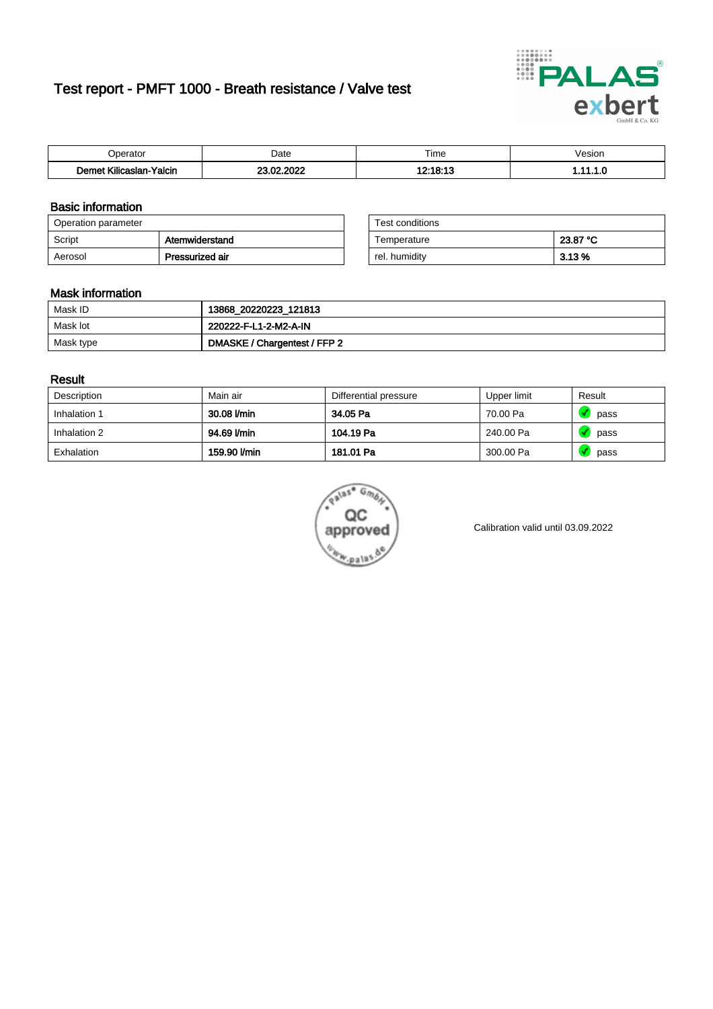# Test report - PMFT 1000 - Breath resistance / Valve test



| n<br>aw                                                   | Date                     | $- \cdot$<br>l ime | esion/ |
|-----------------------------------------------------------|--------------------------|--------------------|--------|
| -<br><b>SAME</b><br>Yalcin<br>aslan<br>KIIIC <sup>-</sup> | 000<br>c.<br>$\sim$<br>. | 10.40.40           | .      |

### Basic information

| Operation parameter |                 | Test conditions |          |
|---------------------|-----------------|-----------------|----------|
| Script              | Atemwiderstand  | Temperature     | 23.87 °C |
| Aerosol             | Pressurized air | rel. humidity   | $3.13\%$ |

| Test conditions |          |
|-----------------|----------|
| Temperature     | 23.87 °C |
| rel. humidity   | 3.13 %   |

#### Mask information

| Mask ID   | 13868_20220223_121813        |
|-----------|------------------------------|
| Mask lot  | 220222-F-L1-2-M2-A-IN        |
| Mask type | DMASKE / Chargentest / FFP 2 |

### Result

| Description  | Main air     | Differential pressure | Upper limit | Result |
|--------------|--------------|-----------------------|-------------|--------|
| Inhalation 1 | 30.08 l/min  | 34.05 Pa              | 70.00 Pa    | pass   |
| Inhalation 2 | 94.69 l/min  | 104.19 Pa             | 240.00 Pa   | pass   |
| Exhalation   | 159.90 l/min | 181.01 Pa             | 300.00 Pa   | pass   |



Calibration valid until 03.09.2022